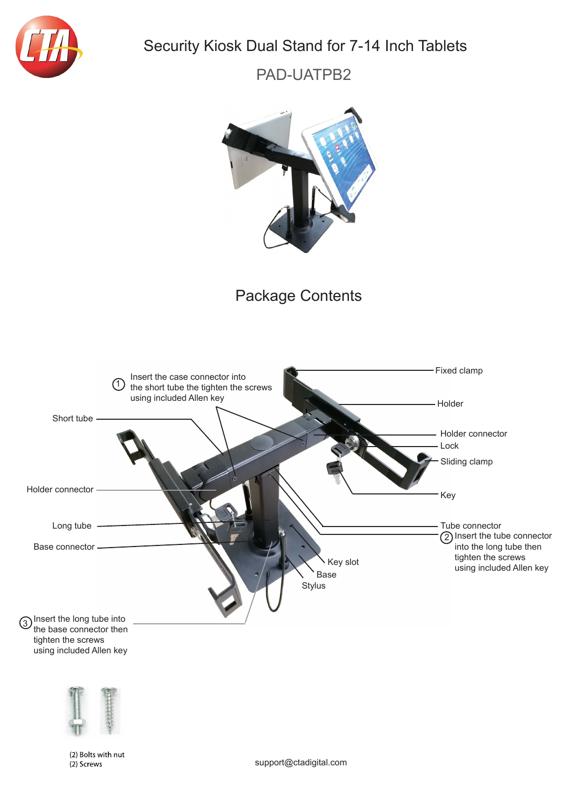

## Security Kiosk Dual Stand for 7-14 Inch Tablets

PAD-UATPB2



## Package Contents





(2) Bolts with nut (2) Screws